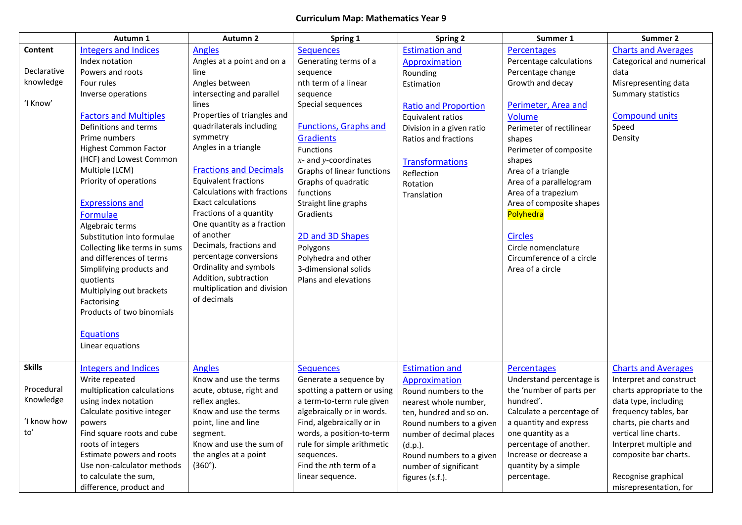## **Curriculum Map: Mathematics Year 9**

|               | Autumn 1                      | Autumn 2                      | Spring 1                     | <b>Spring 2</b>             | Summer 1                  | Summer 2                   |
|---------------|-------------------------------|-------------------------------|------------------------------|-----------------------------|---------------------------|----------------------------|
| Content       | <b>Integers and Indices</b>   | <b>Angles</b>                 | <b>Sequences</b>             | <b>Estimation and</b>       | <b>Percentages</b>        | <b>Charts and Averages</b> |
|               | Index notation                | Angles at a point and on a    | Generating terms of a        | Approximation               | Percentage calculations   | Categorical and numerical  |
| Declarative   | Powers and roots              | line                          | sequence                     | Rounding                    | Percentage change         | data                       |
| knowledge     | Four rules                    | Angles between                | nth term of a linear         | Estimation                  | Growth and decay          | Misrepresenting data       |
|               | Inverse operations            | intersecting and parallel     | sequence                     |                             |                           | Summary statistics         |
| 'I Know'      |                               | lines                         | Special sequences            | <b>Ratio and Proportion</b> | Perimeter, Area and       |                            |
|               | <b>Factors and Multiples</b>  | Properties of triangles and   |                              | Equivalent ratios           | <b>Volume</b>             | <b>Compound units</b>      |
|               | Definitions and terms         | quadrilaterals including      | <b>Functions, Graphs and</b> | Division in a given ratio   | Perimeter of rectilinear  | Speed                      |
|               | Prime numbers                 | symmetry                      | <b>Gradients</b>             | Ratios and fractions        | shapes                    | Density                    |
|               | <b>Highest Common Factor</b>  | Angles in a triangle          | <b>Functions</b>             |                             | Perimeter of composite    |                            |
|               | (HCF) and Lowest Common       |                               | $x$ - and y-coordinates      | <b>Transformations</b>      | shapes                    |                            |
|               | Multiple (LCM)                | <b>Fractions and Decimals</b> | Graphs of linear functions   | Reflection                  | Area of a triangle        |                            |
|               | Priority of operations        | <b>Equivalent fractions</b>   | Graphs of quadratic          | Rotation                    | Area of a parallelogram   |                            |
|               |                               | Calculations with fractions   | functions                    | Translation                 | Area of a trapezium       |                            |
|               | <b>Expressions and</b>        | <b>Exact calculations</b>     | Straight line graphs         |                             | Area of composite shapes  |                            |
|               | Formulae                      | Fractions of a quantity       | Gradients                    |                             | Polyhedra                 |                            |
|               | Algebraic terms               | One quantity as a fraction    |                              |                             |                           |                            |
|               | Substitution into formulae    | of another                    | 2D and 3D Shapes             |                             | <b>Circles</b>            |                            |
|               | Collecting like terms in sums | Decimals, fractions and       | Polygons                     |                             | Circle nomenclature       |                            |
|               | and differences of terms      | percentage conversions        | Polyhedra and other          |                             | Circumference of a circle |                            |
|               | Simplifying products and      | Ordinality and symbols        | 3-dimensional solids         |                             | Area of a circle          |                            |
|               | quotients                     | Addition, subtraction         | Plans and elevations         |                             |                           |                            |
|               | Multiplying out brackets      | multiplication and division   |                              |                             |                           |                            |
|               | Factorising                   | of decimals                   |                              |                             |                           |                            |
|               | Products of two binomials     |                               |                              |                             |                           |                            |
|               |                               |                               |                              |                             |                           |                            |
|               | <b>Equations</b>              |                               |                              |                             |                           |                            |
|               | Linear equations              |                               |                              |                             |                           |                            |
|               |                               |                               |                              |                             |                           |                            |
| <b>Skills</b> | <b>Integers and Indices</b>   | <b>Angles</b>                 | <b>Sequences</b>             | <b>Estimation and</b>       | <b>Percentages</b>        | <b>Charts and Averages</b> |
|               | Write repeated                | Know and use the terms        | Generate a sequence by       | Approximation               | Understand percentage is  | Interpret and construct    |
| Procedural    | multiplication calculations   | acute, obtuse, right and      | spotting a pattern or using  | Round numbers to the        | the 'number of parts per  | charts appropriate to the  |
| Knowledge     | using index notation          | reflex angles.                | a term-to-term rule given    | nearest whole number,       | hundred'.                 | data type, including       |
|               | Calculate positive integer    | Know and use the terms        | algebraically or in words.   | ten, hundred and so on.     | Calculate a percentage of | frequency tables, bar      |
| ʻI know how   | powers                        | point, line and line          | Find, algebraically or in    | Round numbers to a given    | a quantity and express    | charts, pie charts and     |
| to'           | Find square roots and cube    | segment.                      | words, a position-to-term    | number of decimal places    | one quantity as a         | vertical line charts.      |
|               | roots of integers             | Know and use the sum of       | rule for simple arithmetic   | (d.p.).                     | percentage of another.    | Interpret multiple and     |
|               | Estimate powers and roots     | the angles at a point         | sequences.                   | Round numbers to a given    | Increase or decrease a    | composite bar charts.      |
|               | Use non-calculator methods    | $(360^{\circ})$ .             | Find the $n$ th term of a    | number of significant       | quantity by a simple      |                            |
|               | to calculate the sum,         |                               | linear sequence.             | figures (s.f.).             | percentage.               | Recognise graphical        |
|               | difference, product and       |                               |                              |                             |                           | misrepresentation, for     |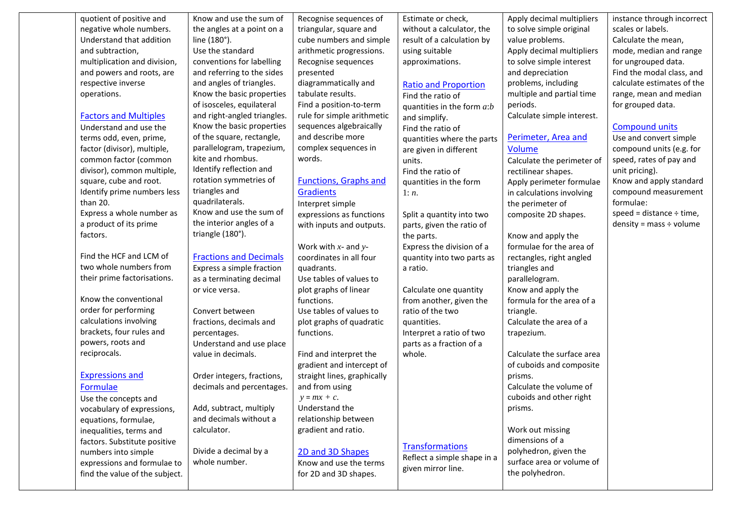| quotient of positive and       | Know and use the sum of       | Recognise sequences of       | Estimate or check,           | Apply decimal multipliers  | instance through incorrect    |
|--------------------------------|-------------------------------|------------------------------|------------------------------|----------------------------|-------------------------------|
| negative whole numbers.        | the angles at a point on a    | triangular, square and       | without a calculator, the    | to solve simple original   | scales or labels.             |
| Understand that addition       | line (180°).                  | cube numbers and simple      | result of a calculation by   | value problems.            | Calculate the mean,           |
| and subtraction,               | Use the standard              | arithmetic progressions.     | using suitable               | Apply decimal multipliers  | mode, median and range        |
| multiplication and division,   | conventions for labelling     | Recognise sequences          | approximations.              | to solve simple interest   | for ungrouped data.           |
| and powers and roots, are      | and referring to the sides    | presented                    |                              | and depreciation           | Find the modal class, and     |
| respective inverse             | and angles of triangles.      | diagrammatically and         | <b>Ratio and Proportion</b>  | problems, including        | calculate estimates of the    |
| operations.                    | Know the basic properties     | tabulate results.            | Find the ratio of            | multiple and partial time  | range, mean and median        |
|                                | of isosceles, equilateral     | Find a position-to-term      | quantities in the form $a:b$ | periods.                   | for grouped data.             |
| <b>Factors and Multiples</b>   | and right-angled triangles.   | rule for simple arithmetic   | and simplify.                | Calculate simple interest. |                               |
| Understand and use the         | Know the basic properties     | sequences algebraically      | Find the ratio of            |                            | <b>Compound units</b>         |
| terms odd, even, prime,        | of the square, rectangle,     | and describe more            | quantities where the parts   | Perimeter, Area and        | Use and convert simple        |
| factor (divisor), multiple,    | parallelogram, trapezium,     | complex sequences in         | are given in different       | Volume                     | compound units (e.g. for      |
| common factor (common          | kite and rhombus.             | words.                       | units.                       | Calculate the perimeter of | speed, rates of pay and       |
| divisor), common multiple,     | Identify reflection and       |                              | Find the ratio of            | rectilinear shapes.        | unit pricing).                |
| square, cube and root.         | rotation symmetries of        | <b>Functions, Graphs and</b> | quantities in the form       | Apply perimeter formulae   | Know and apply standard       |
| Identify prime numbers less    | triangles and                 | <b>Gradients</b>             | 1: n.                        | in calculations involving  | compound measurement          |
| than 20.                       | quadrilaterals.               | Interpret simple             |                              | the perimeter of           | formulae:                     |
| Express a whole number as      | Know and use the sum of       | expressions as functions     | Split a quantity into two    | composite 2D shapes.       | speed = distance $\div$ time, |
| a product of its prime         | the interior angles of a      | with inputs and outputs.     | parts, given the ratio of    |                            | density = mass $\div$ volume  |
| factors.                       | triangle (180°).              |                              | the parts.                   | Know and apply the         |                               |
|                                |                               | Work with $x$ - and $y$ -    | Express the division of a    | formulae for the area of   |                               |
| Find the HCF and LCM of        | <b>Fractions and Decimals</b> | coordinates in all four      | quantity into two parts as   | rectangles, right angled   |                               |
| two whole numbers from         | Express a simple fraction     | quadrants.                   | a ratio.                     | triangles and              |                               |
| their prime factorisations.    | as a terminating decimal      | Use tables of values to      |                              | parallelogram.             |                               |
|                                | or vice versa.                | plot graphs of linear        | Calculate one quantity       | Know and apply the         |                               |
| Know the conventional          |                               | functions.                   | from another, given the      | formula for the area of a  |                               |
| order for performing           | Convert between               | Use tables of values to      | ratio of the two             | triangle.                  |                               |
| calculations involving         | fractions, decimals and       | plot graphs of quadratic     | quantities.                  | Calculate the area of a    |                               |
| brackets, four rules and       | percentages.                  | functions.                   | Interpret a ratio of two     | trapezium.                 |                               |
| powers, roots and              | Understand and use place      |                              | parts as a fraction of a     |                            |                               |
| reciprocals.                   | value in decimals.            | Find and interpret the       | whole.                       | Calculate the surface area |                               |
|                                |                               | gradient and intercept of    |                              | of cuboids and composite   |                               |
| <b>Expressions and</b>         | Order integers, fractions,    | straight lines, graphically  |                              | prisms.                    |                               |
| Formulae                       | decimals and percentages.     | and from using               |                              | Calculate the volume of    |                               |
| Use the concepts and           |                               | $y = mx + c$ .               |                              | cuboids and other right    |                               |
| vocabulary of expressions,     | Add, subtract, multiply       | Understand the               |                              | prisms.                    |                               |
| equations, formulae,           | and decimals without a        | relationship between         |                              |                            |                               |
| inequalities, terms and        | calculator.                   | gradient and ratio.          |                              | Work out missing           |                               |
| factors. Substitute positive   |                               |                              | <b>Transformations</b>       | dimensions of a            |                               |
| numbers into simple            | Divide a decimal by a         | 2D and 3D Shapes             | Reflect a simple shape in a  | polyhedron, given the      |                               |
| expressions and formulae to    | whole number.                 | Know and use the terms       | given mirror line.           | surface area or volume of  |                               |
| find the value of the subject. |                               | for 2D and 3D shapes.        |                              | the polyhedron.            |                               |
|                                |                               |                              |                              |                            |                               |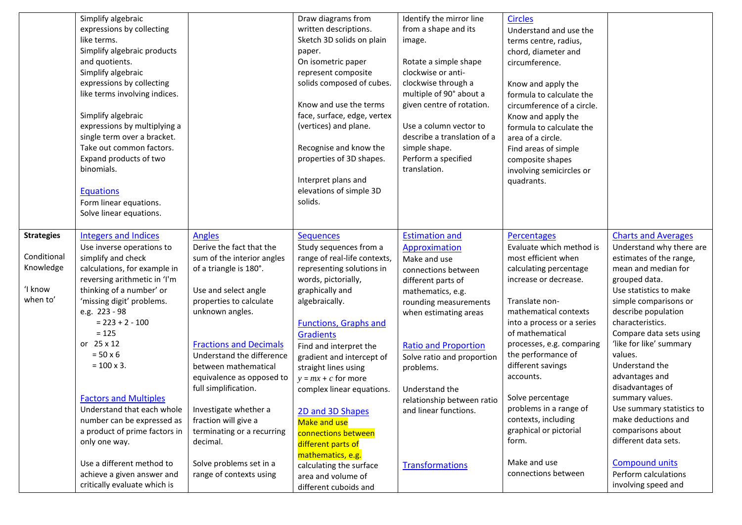|                                                                      | Simplify algebraic<br>expressions by collecting<br>like terms.<br>Simplify algebraic products<br>and quotients.<br>Simplify algebraic<br>expressions by collecting<br>like terms involving indices.<br>Simplify algebraic<br>expressions by multiplying a<br>single term over a bracket.<br>Take out common factors.<br>Expand products of two<br>binomials.<br><b>Equations</b><br>Form linear equations.<br>Solve linear equations.                                                     |                                                                                                                                                                                                                                                                                                                                                                                                                                          | Draw diagrams from<br>written descriptions.<br>Sketch 3D solids on plain<br>paper.<br>On isometric paper<br>represent composite<br>solids composed of cubes.<br>Know and use the terms<br>face, surface, edge, vertex<br>(vertices) and plane.<br>Recognise and know the<br>properties of 3D shapes.<br>Interpret plans and<br>elevations of simple 3D<br>solids.                                                                                                                             | Identify the mirror line<br>from a shape and its<br>image.<br>Rotate a simple shape<br>clockwise or anti-<br>clockwise through a<br>multiple of 90° about a<br>given centre of rotation.<br>Use a column vector to<br>describe a translation of a<br>simple shape.<br>Perform a specified<br>translation.                                               | <b>Circles</b><br>Understand and use the<br>terms centre, radius,<br>chord, diameter and<br>circumference.<br>Know and apply the<br>formula to calculate the<br>circumference of a circle.<br>Know and apply the<br>formula to calculate the<br>area of a circle.<br>Find areas of simple<br>composite shapes<br>involving semicircles or<br>quadrants.                                                                                           |                                                                                                                                                                                                                                                                                                                                                                                                                                                                                               |
|----------------------------------------------------------------------|-------------------------------------------------------------------------------------------------------------------------------------------------------------------------------------------------------------------------------------------------------------------------------------------------------------------------------------------------------------------------------------------------------------------------------------------------------------------------------------------|------------------------------------------------------------------------------------------------------------------------------------------------------------------------------------------------------------------------------------------------------------------------------------------------------------------------------------------------------------------------------------------------------------------------------------------|-----------------------------------------------------------------------------------------------------------------------------------------------------------------------------------------------------------------------------------------------------------------------------------------------------------------------------------------------------------------------------------------------------------------------------------------------------------------------------------------------|---------------------------------------------------------------------------------------------------------------------------------------------------------------------------------------------------------------------------------------------------------------------------------------------------------------------------------------------------------|---------------------------------------------------------------------------------------------------------------------------------------------------------------------------------------------------------------------------------------------------------------------------------------------------------------------------------------------------------------------------------------------------------------------------------------------------|-----------------------------------------------------------------------------------------------------------------------------------------------------------------------------------------------------------------------------------------------------------------------------------------------------------------------------------------------------------------------------------------------------------------------------------------------------------------------------------------------|
| <b>Strategies</b><br>Conditional<br>Knowledge<br>'I know<br>when to' | <b>Integers and Indices</b><br>Use inverse operations to<br>simplify and check<br>calculations, for example in<br>reversing arithmetic in 'I'm<br>thinking of a number' or<br>'missing digit' problems.<br>e.g. 223 - 98<br>$= 223 + 2 - 100$<br>$= 125$<br>or 25 x 12<br>$= 50 \times 6$<br>$= 100 \times 3.$<br><b>Factors and Multiples</b><br>Understand that each whole<br>number can be expressed as<br>a product of prime factors in<br>only one way.<br>Use a different method to | <b>Angles</b><br>Derive the fact that the<br>sum of the interior angles<br>of a triangle is 180°.<br>Use and select angle<br>properties to calculate<br>unknown angles.<br><b>Fractions and Decimals</b><br>Understand the difference<br>between mathematical<br>equivalence as opposed to<br>full simplification.<br>Investigate whether a<br>fraction will give a<br>terminating or a recurring<br>decimal.<br>Solve problems set in a | <b>Sequences</b><br>Study sequences from a<br>range of real-life contexts,<br>representing solutions in<br>words, pictorially,<br>graphically and<br>algebraically.<br><b>Functions, Graphs and</b><br><b>Gradients</b><br>Find and interpret the<br>gradient and intercept of<br>straight lines using<br>$y = mx + c$ for more<br>complex linear equations.<br>2D and 3D Shapes<br>Make and use<br>connections between<br>different parts of<br>mathematics, e.g.<br>calculating the surface | <b>Estimation and</b><br>Approximation<br>Make and use<br>connections between<br>different parts of<br>mathematics, e.g.<br>rounding measurements<br>when estimating areas<br><b>Ratio and Proportion</b><br>Solve ratio and proportion<br>problems.<br>Understand the<br>relationship between ratio<br>and linear functions.<br><b>Transformations</b> | Percentages<br>Evaluate which method is<br>most efficient when<br>calculating percentage<br>increase or decrease.<br>Translate non-<br>mathematical contexts<br>into a process or a series<br>of mathematical<br>processes, e.g. comparing<br>the performance of<br>different savings<br>accounts.<br>Solve percentage<br>problems in a range of<br>contexts, including<br>graphical or pictorial<br>form.<br>Make and use<br>connections between | <b>Charts and Averages</b><br>Understand why there are<br>estimates of the range,<br>mean and median for<br>grouped data.<br>Use statistics to make<br>simple comparisons or<br>describe population<br>characteristics.<br>Compare data sets using<br>'like for like' summary<br>values.<br>Understand the<br>advantages and<br>disadvantages of<br>summary values.<br>Use summary statistics to<br>make deductions and<br>comparisons about<br>different data sets.<br><b>Compound units</b> |
|                                                                      | achieve a given answer and<br>critically evaluate which is                                                                                                                                                                                                                                                                                                                                                                                                                                | range of contexts using                                                                                                                                                                                                                                                                                                                                                                                                                  | area and volume of<br>different cuboids and                                                                                                                                                                                                                                                                                                                                                                                                                                                   |                                                                                                                                                                                                                                                                                                                                                         |                                                                                                                                                                                                                                                                                                                                                                                                                                                   | Perform calculations<br>involving speed and                                                                                                                                                                                                                                                                                                                                                                                                                                                   |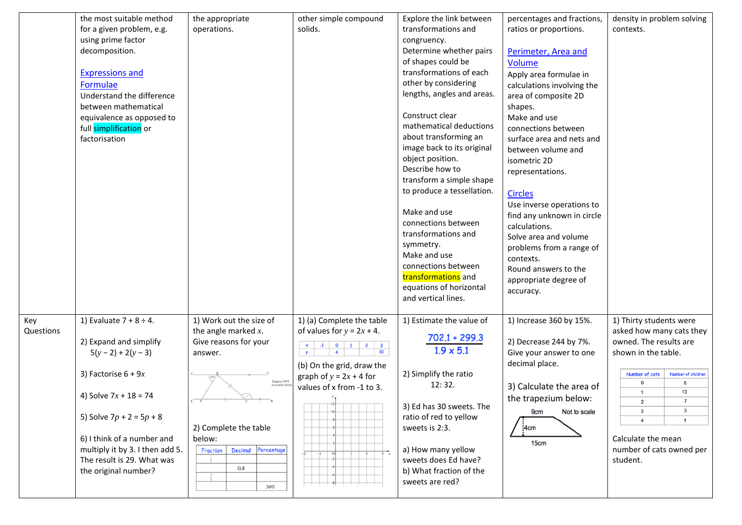|                  | the most suitable method<br>for a given problem, e.g.<br>using prime factor<br>decomposition.<br><b>Expressions and</b><br>Formulae<br>Understand the difference<br>between mathematical<br>equivalence as opposed to<br>full simplification or<br>factorisation                     | the appropriate<br>operations.                                                                                                                                                                                                                      | other simple compound<br>solids.                                                                                                                                                                                                                                                                                                                                                                                                           | Explore the link between<br>transformations and<br>congruency.<br>Determine whether pairs<br>of shapes could be<br>transformations of each<br>other by considering<br>lengths, angles and areas.<br>Construct clear<br>mathematical deductions<br>about transforming an<br>image back to its original<br>object position.<br>Describe how to<br>transform a simple shape<br>to produce a tessellation.<br>Make and use<br>connections between<br>transformations and<br>symmetry.<br>Make and use<br>connections between<br>transformations and<br>equations of horizontal | percentages and fractions,<br>ratios or proportions.<br>Perimeter, Area and<br><b>Volume</b><br>Apply area formulae in<br>calculations involving the<br>area of composite 2D<br>shapes.<br>Make and use<br>connections between<br>surface area and nets and<br>between volume and<br>isometric 2D<br>representations.<br><b>Circles</b><br>Use inverse operations to<br>find any unknown in circle<br>calculations.<br>Solve area and volume<br>problems from a range of<br>contexts.<br>Round answers to the<br>appropriate degree of<br>accuracy. | density in problem solving<br>contexts.                                                                                                                                                                                                                                                                         |
|------------------|--------------------------------------------------------------------------------------------------------------------------------------------------------------------------------------------------------------------------------------------------------------------------------------|-----------------------------------------------------------------------------------------------------------------------------------------------------------------------------------------------------------------------------------------------------|--------------------------------------------------------------------------------------------------------------------------------------------------------------------------------------------------------------------------------------------------------------------------------------------------------------------------------------------------------------------------------------------------------------------------------------------|----------------------------------------------------------------------------------------------------------------------------------------------------------------------------------------------------------------------------------------------------------------------------------------------------------------------------------------------------------------------------------------------------------------------------------------------------------------------------------------------------------------------------------------------------------------------------|-----------------------------------------------------------------------------------------------------------------------------------------------------------------------------------------------------------------------------------------------------------------------------------------------------------------------------------------------------------------------------------------------------------------------------------------------------------------------------------------------------------------------------------------------------|-----------------------------------------------------------------------------------------------------------------------------------------------------------------------------------------------------------------------------------------------------------------------------------------------------------------|
|                  |                                                                                                                                                                                                                                                                                      |                                                                                                                                                                                                                                                     |                                                                                                                                                                                                                                                                                                                                                                                                                                            | and vertical lines.                                                                                                                                                                                                                                                                                                                                                                                                                                                                                                                                                        |                                                                                                                                                                                                                                                                                                                                                                                                                                                                                                                                                     |                                                                                                                                                                                                                                                                                                                 |
| Key<br>Questions | 1) Evaluate $7 + 8 \div 4$ .<br>2) Expand and simplify<br>$5(y-2) + 2(y-3)$<br>3) Factorise $6 + 9x$<br>4) Solve $7x + 18 = 74$<br>5) Solve $7p + 2 = 5p + 8$<br>6) I think of a number and<br>multiply it by 3. I then add 5.<br>The result is 29. What was<br>the original number? | 1) Work out the size of<br>the angle marked $x$ .<br>Give reasons for your<br>answer.<br>$\mathop{\mathrm{Diagram}}\nolimits\mathop{\mathrm{NOT}}$<br>2) Complete the table<br>below:<br>Decimal<br>Percentage<br><b>Fraction</b><br>$0.8\,$<br>30% | 1) (a) Complete the table<br>of values for $y = 2x + 4$ .<br>$\begin{array}{ c c c }\n\hline\n-4 & 0 \\ \hline\n\end{array}$<br>$\begin{array}{c c}\n2 & 3 \\ \hline\n10\n\end{array}$<br>$\mathbf{1}$<br>(b) On the grid, draw the<br>graph of $y = 2x + 4$ for<br>values of x from -1 to 3.<br>$\mathbb{T}^{12}$<br><u> 1999 - 1999 - 1999 - 1999 - 1999 - 1999 - 1999 - 1999 - 1999 - 1999 - 1999 - 1999 - 1999 - 1999 - 1999 - 199</u> | 1) Estimate the value of<br>$702.1 + 299.3$<br>$1.9 \times 5.1$<br>2) Simplify the ratio<br>12:32.<br>3) Ed has 30 sweets. The<br>ratio of red to yellow<br>sweets is 2:3.<br>a) How many yellow<br>sweets does Ed have?<br>b) What fraction of the<br>sweets are red?                                                                                                                                                                                                                                                                                                     | 1) Increase 360 by 15%.<br>2) Decrease 244 by 7%.<br>Give your answer to one<br>decimal place.<br>3) Calculate the area of<br>the trapezium below:<br>Not to scale<br><b>9cm</b><br>$\frac{1}{2}$ 4cm<br>15cm                                                                                                                                                                                                                                                                                                                                       | 1) Thirty students were<br>asked how many cats they<br>owned. The results are<br>shown in the table.<br>Number of children<br>Number of cats<br>$\mathbf 0$<br>6<br>13<br>$\overline{7}$<br>$\overline{2}$<br>3<br>$\mathbf{3}$<br>$\overline{4}$<br>Calculate the mean<br>number of cats owned per<br>student. |